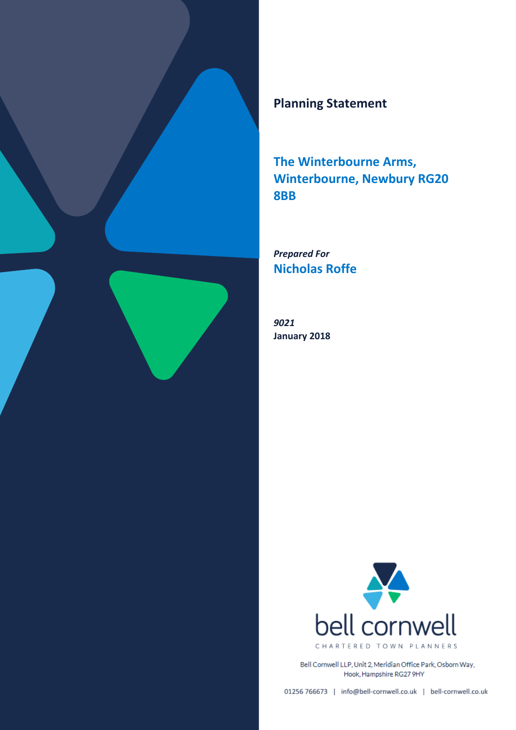

# **Planning Statement**

**The Winterbourne Arms, Winterbourne, Newbury RG20 8BB** 

*Prepared For* **Nicholas Roffe**

*9021*  **January 2018** 



Bell Cornwell LLP, Unit 2, Meridian Office Park, Osborn Way, Hook, Hampshire RG27 9HY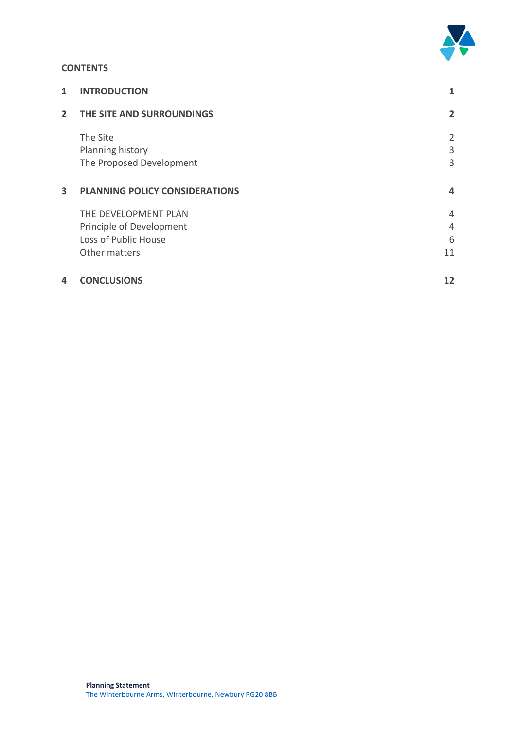

### **CONTENTS**

| 1              | <b>INTRODUCTION</b>                                                                       | 1                 |
|----------------|-------------------------------------------------------------------------------------------|-------------------|
| $\overline{2}$ | THE SITE AND SURROUNDINGS                                                                 | 2                 |
|                | The Site<br>Planning history<br>The Proposed Development                                  | 2<br>3<br>3       |
| 3              | <b>PLANNING POLICY CONSIDERATIONS</b>                                                     | 4                 |
|                | THE DEVELOPMENT PLAN<br>Principle of Development<br>Loss of Public House<br>Other matters | 4<br>4<br>6<br>11 |
| 4              | <b>CONCLUSIONS</b>                                                                        | 12                |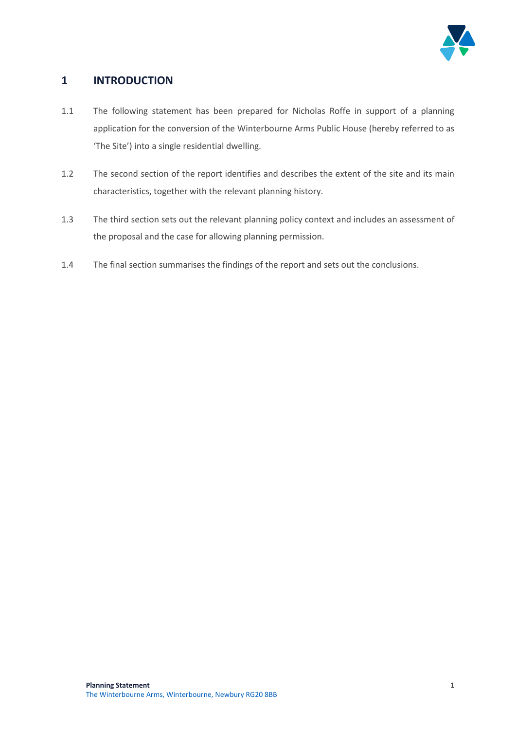

# **1 INTRODUCTION**

- 1.1 The following statement has been prepared for Nicholas Roffe in support of a planning application for the conversion of the Winterbourne Arms Public House (hereby referred to as 'The Site') into a single residential dwelling.
- 1.2 The second section of the report identifies and describes the extent of the site and its main characteristics, together with the relevant planning history.
- 1.3 The third section sets out the relevant planning policy context and includes an assessment of the proposal and the case for allowing planning permission.
- 1.4 The final section summarises the findings of the report and sets out the conclusions.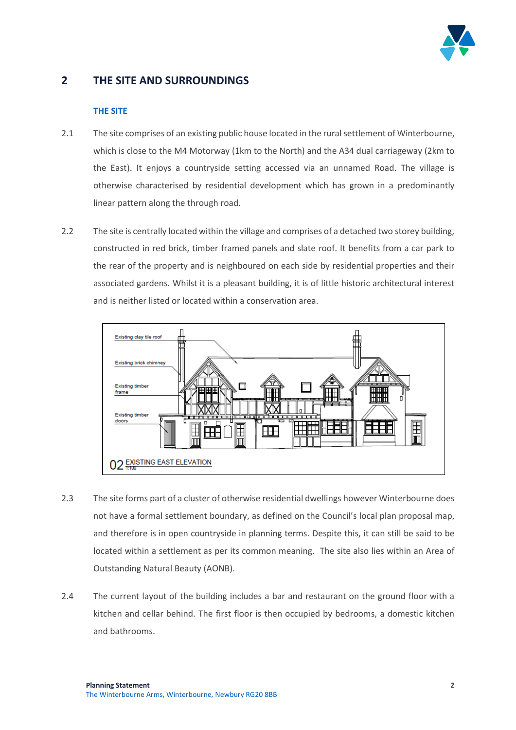

# **2 THE SITE AND SURROUNDINGS**

#### **THE SITE**

- 2.1 The site comprises of an existing public house located in the rural settlement of Winterbourne, which is close to the M4 Motorway (1km to the North) and the A34 dual carriageway (2km to the East). It enjoys a countryside setting accessed via an unnamed Road. The village is otherwise characterised by residential development which has grown in a predominantly linear pattern along the through road.
- 2.2 The site is centrally located within the village and comprises of a detached two storey building, constructed in red brick, timber framed panels and slate roof. It benefits from a car park to the rear of the property and is neighboured on each side by residential properties and their associated gardens. Whilst it is a pleasant building, it is of little historic architectural interest and is neither listed or located within a conservation area.



- 2.3 The site forms part of a cluster of otherwise residential dwellings however Winterbourne does not have a formal settlement boundary, as defined on the Council's local plan proposal map, and therefore is in open countryside in planning terms. Despite this, it can still be said to be located within a settlement as per its common meaning. The site also lies within an Area of Outstanding Natural Beauty (AONB).
- 2.4 The current layout of the building includes a bar and restaurant on the ground floor with a kitchen and cellar behind. The first floor is then occupied by bedrooms, a domestic kitchen and bathrooms.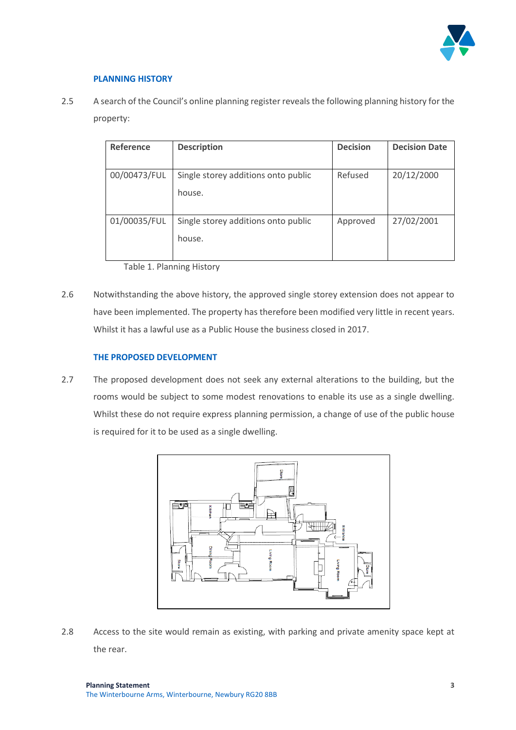

#### **PLANNING HISTORY**

2.5 A search of the Council's online planning register reveals the following planning history for the property:

| Reference    | <b>Description</b>                  | <b>Decision</b> | <b>Decision Date</b> |
|--------------|-------------------------------------|-----------------|----------------------|
|              |                                     |                 |                      |
| 00/00473/FUL | Single storey additions onto public | Refused         | 20/12/2000           |
|              | house.                              |                 |                      |
|              |                                     |                 |                      |
| 01/00035/FUL | Single storey additions onto public | Approved        | 27/02/2001           |
|              | house.                              |                 |                      |
|              |                                     |                 |                      |

Table 1. Planning History

2.6 Notwithstanding the above history, the approved single storey extension does not appear to have been implemented. The property has therefore been modified very little in recent years. Whilst it has a lawful use as a Public House the business closed in 2017.

#### **THE PROPOSED DEVELOPMENT**

2.7 The proposed development does not seek any external alterations to the building, but the rooms would be subject to some modest renovations to enable its use as a single dwelling. Whilst these do not require express planning permission, a change of use of the public house is required for it to be used as a single dwelling.



2.8 Access to the site would remain as existing, with parking and private amenity space kept at the rear.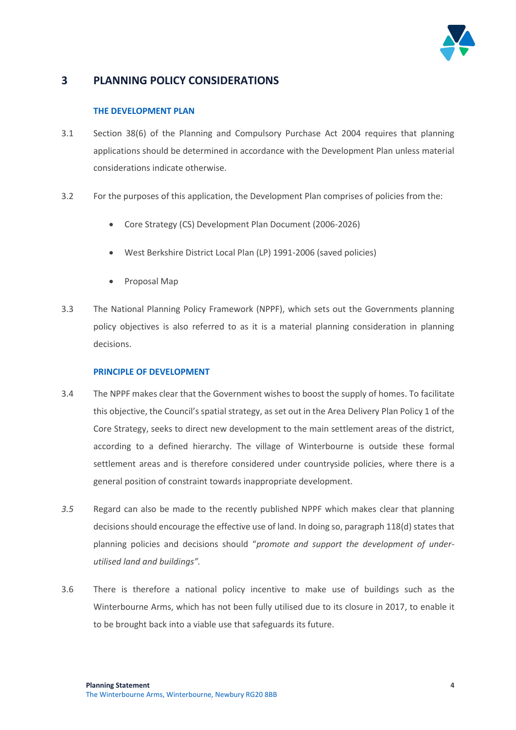

# **3 PLANNING POLICY CONSIDERATIONS**

#### **THE DEVELOPMENT PLAN**

- 3.1 Section 38(6) of the Planning and Compulsory Purchase Act 2004 requires that planning applications should be determined in accordance with the Development Plan unless material considerations indicate otherwise.
- 3.2 For the purposes of this application, the Development Plan comprises of policies from the:
	- Core Strategy (CS) Development Plan Document (2006-2026)
	- West Berkshire District Local Plan (LP) 1991-2006 (saved policies)
	- Proposal Map
- 3.3 The National Planning Policy Framework (NPPF), which sets out the Governments planning policy objectives is also referred to as it is a material planning consideration in planning decisions.

#### **PRINCIPLE OF DEVELOPMENT**

- 3.4 The NPPF makes clear that the Government wishes to boost the supply of homes. To facilitate this objective, the Council's spatial strategy, as set out in the Area Delivery Plan Policy 1 of the Core Strategy, seeks to direct new development to the main settlement areas of the district, according to a defined hierarchy. The village of Winterbourne is outside these formal settlement areas and is therefore considered under countryside policies, where there is a general position of constraint towards inappropriate development.
- *3.5* Regard can also be made to the recently published NPPF which makes clear that planning decisions should encourage the effective use of land. In doing so, paragraph 118(d) states that planning policies and decisions should "*promote and support the development of underutilised land and buildings".*
- 3.6 There is therefore a national policy incentive to make use of buildings such as the Winterbourne Arms, which has not been fully utilised due to its closure in 2017, to enable it to be brought back into a viable use that safeguards its future.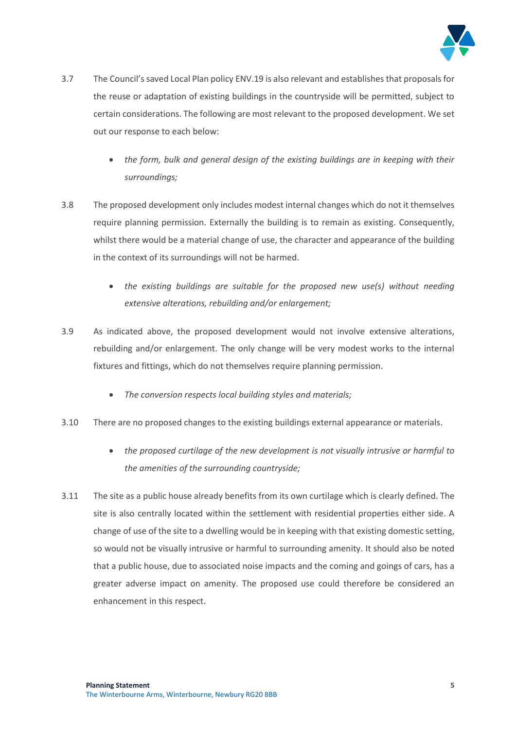

- 3.7 The Council's saved Local Plan policy ENV.19 is also relevant and establishes that proposals for the reuse or adaptation of existing buildings in the countryside will be permitted, subject to certain considerations. The following are most relevant to the proposed development. We set out our response to each below:
	- *the form, bulk and general design of the existing buildings are in keeping with their surroundings;*
- 3.8 The proposed development only includes modest internal changes which do not it themselves require planning permission. Externally the building is to remain as existing. Consequently, whilst there would be a material change of use, the character and appearance of the building in the context of its surroundings will not be harmed.
	- the existing buildings are suitable for the proposed new use(s) without needing *extensive alterations, rebuilding and/or enlargement;*
- 3.9 As indicated above, the proposed development would not involve extensive alterations, rebuilding and/or enlargement. The only change will be very modest works to the internal fixtures and fittings, which do not themselves require planning permission.
	- *The conversion respects local building styles and materials;*
- 3.10 There are no proposed changes to the existing buildings external appearance or materials.
	- *the proposed curtilage of the new development is not visually intrusive or harmful to the amenities of the surrounding countryside;*
- 3.11 The site as a public house already benefits from its own curtilage which is clearly defined. The site is also centrally located within the settlement with residential properties either side. A change of use of the site to a dwelling would be in keeping with that existing domestic setting, so would not be visually intrusive or harmful to surrounding amenity. It should also be noted that a public house, due to associated noise impacts and the coming and goings of cars, has a greater adverse impact on amenity. The proposed use could therefore be considered an enhancement in this respect.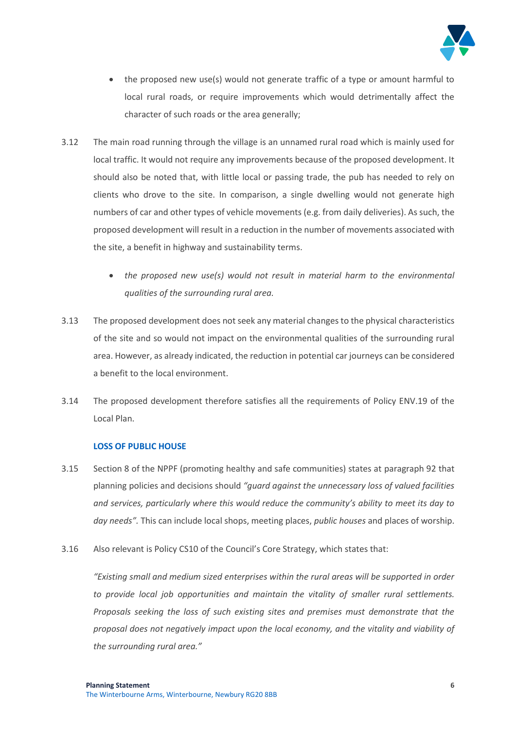

- the proposed new use(s) would not generate traffic of a type or amount harmful to local rural roads, or require improvements which would detrimentally affect the character of such roads or the area generally;
- 3.12 The main road running through the village is an unnamed rural road which is mainly used for local traffic. It would not require any improvements because of the proposed development. It should also be noted that, with little local or passing trade, the pub has needed to rely on clients who drove to the site. In comparison, a single dwelling would not generate high numbers of car and other types of vehicle movements (e.g. from daily deliveries). As such, the proposed development will result in a reduction in the number of movements associated with the site, a benefit in highway and sustainability terms.
	- *the proposed new use(s) would not result in material harm to the environmental qualities of the surrounding rural area.*
- 3.13 The proposed development does not seek any material changes to the physical characteristics of the site and so would not impact on the environmental qualities of the surrounding rural area. However, as already indicated, the reduction in potential car journeys can be considered a benefit to the local environment.
- 3.14 The proposed development therefore satisfies all the requirements of Policy ENV.19 of the Local Plan.

#### **LOSS OF PUBLIC HOUSE**

- 3.15 Section 8 of the NPPF (promoting healthy and safe communities) states at paragraph 92 that planning policies and decisions should *"guard against the unnecessary loss of valued facilities and services, particularly where this would reduce the community's ability to meet its day to day needs".* This can include local shops, meeting places, *public houses* and places of worship.
- 3.16 Also relevant is Policy CS10 of the Council's Core Strategy, which states that:

*"Existing small and medium sized enterprises within the rural areas will be supported in order to provide local job opportunities and maintain the vitality of smaller rural settlements. Proposals seeking the loss of such existing sites and premises must demonstrate that the proposal does not negatively impact upon the local economy, and the vitality and viability of the surrounding rural area."*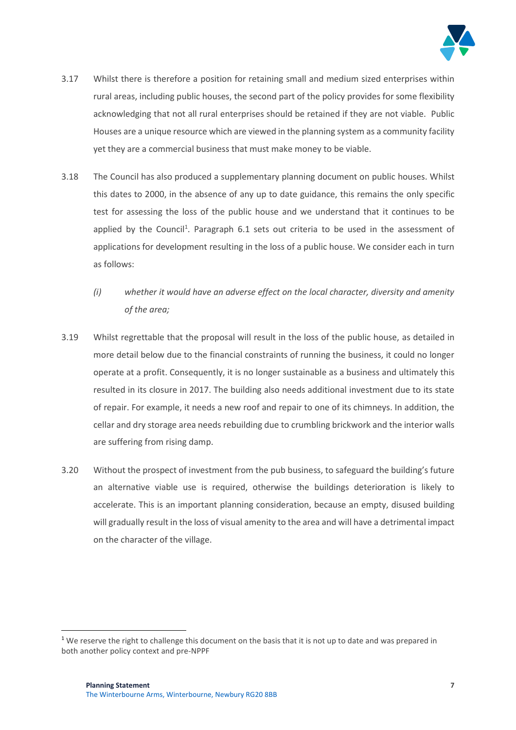

- 3.17 Whilst there is therefore a position for retaining small and medium sized enterprises within rural areas, including public houses, the second part of the policy provides for some flexibility acknowledging that not all rural enterprises should be retained if they are not viable. Public Houses are a unique resource which are viewed in the planning system as a community facility yet they are a commercial business that must make money to be viable.
- 3.18 The Council has also produced a supplementary planning document on public houses. Whilst this dates to 2000, in the absence of any up to date guidance, this remains the only specific test for assessing the loss of the public house and we understand that it continues to be applied by the Council<sup>1</sup>. Paragraph 6.1 sets out criteria to be used in the assessment of applications for development resulting in the loss of a public house. We consider each in turn as follows:
	- *(i) whether it would have an adverse effect on the local character, diversity and amenity of the area;*
- 3.19 Whilst regrettable that the proposal will result in the loss of the public house, as detailed in more detail below due to the financial constraints of running the business, it could no longer operate at a profit. Consequently, it is no longer sustainable as a business and ultimately this resulted in its closure in 2017. The building also needs additional investment due to its state of repair. For example, it needs a new roof and repair to one of its chimneys. In addition, the cellar and dry storage area needs rebuilding due to crumbling brickwork and the interior walls are suffering from rising damp.
- 3.20 Without the prospect of investment from the pub business, to safeguard the building's future an alternative viable use is required, otherwise the buildings deterioration is likely to accelerate. This is an important planning consideration, because an empty, disused building will gradually result in the loss of visual amenity to the area and will have a detrimental impact on the character of the village.

 $\overline{\phantom{a}}$ 

 $1$  We reserve the right to challenge this document on the basis that it is not up to date and was prepared in both another policy context and pre-NPPF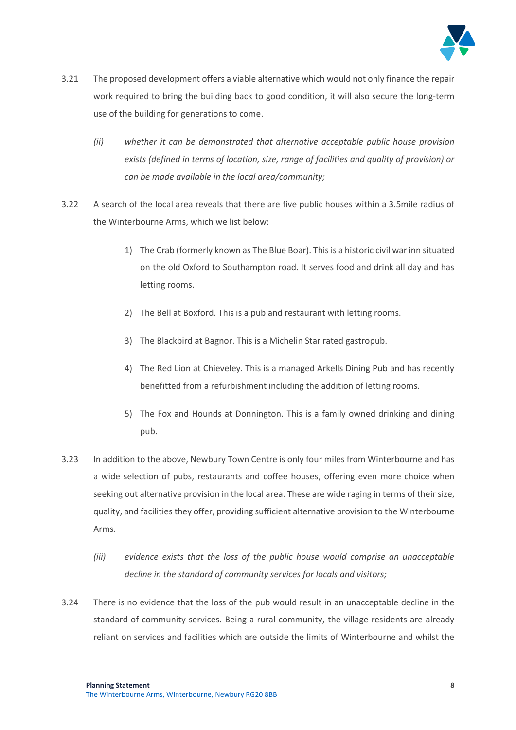

- 3.21 The proposed development offers a viable alternative which would not only finance the repair work required to bring the building back to good condition, it will also secure the long-term use of the building for generations to come.
	- *(ii) whether it can be demonstrated that alternative acceptable public house provision exists (defined in terms of location, size, range of facilities and quality of provision) or can be made available in the local area/community;*
- 3.22 A search of the local area reveals that there are five public houses within a 3.5mile radius of the Winterbourne Arms, which we list below:
	- 1) The Crab (formerly known as The Blue Boar). This is a historic civil war inn situated on the old Oxford to Southampton road. It serves food and drink all day and has letting rooms.
	- 2) The Bell at Boxford. This is a pub and restaurant with letting rooms.
	- 3) The Blackbird at Bagnor. This is a Michelin Star rated gastropub.
	- 4) The Red Lion at Chieveley. This is a managed Arkells Dining Pub and has recently benefitted from a refurbishment including the addition of letting rooms.
	- 5) The Fox and Hounds at Donnington. This is a family owned drinking and dining pub.
- 3.23 In addition to the above, Newbury Town Centre is only four miles from Winterbourne and has a wide selection of pubs, restaurants and coffee houses, offering even more choice when seeking out alternative provision in the local area. These are wide raging in terms of their size, quality, and facilities they offer, providing sufficient alternative provision to the Winterbourne Arms.
	- *(iii) evidence exists that the loss of the public house would comprise an unacceptable decline in the standard of community services for locals and visitors;*
- 3.24 There is no evidence that the loss of the pub would result in an unacceptable decline in the standard of community services. Being a rural community, the village residents are already reliant on services and facilities which are outside the limits of Winterbourne and whilst the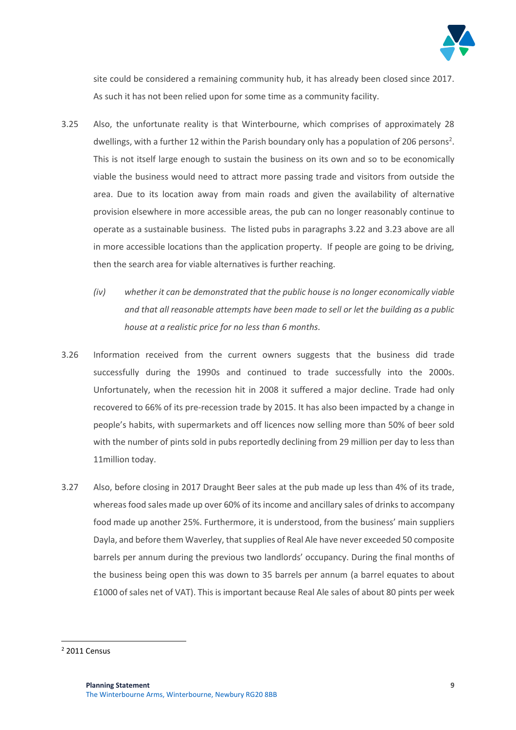

site could be considered a remaining community hub, it has already been closed since 2017. As such it has not been relied upon for some time as a community facility.

- 3.25 Also, the unfortunate reality is that Winterbourne, which comprises of approximately 28 dwellings, with a further 12 within the Parish boundary only has a population of 206 persons<sup>2</sup>. This is not itself large enough to sustain the business on its own and so to be economically viable the business would need to attract more passing trade and visitors from outside the area. Due to its location away from main roads and given the availability of alternative provision elsewhere in more accessible areas, the pub can no longer reasonably continue to operate as a sustainable business. The listed pubs in paragraphs 3.22 and 3.23 above are all in more accessible locations than the application property. If people are going to be driving, then the search area for viable alternatives is further reaching.
	- *(iv) whether it can be demonstrated that the public house is no longer economically viable and that all reasonable attempts have been made to sell or let the building as a public house at a realistic price for no less than 6 months.*
- 3.26 Information received from the current owners suggests that the business did trade successfully during the 1990s and continued to trade successfully into the 2000s. Unfortunately, when the recession hit in 2008 it suffered a major decline. Trade had only recovered to 66% of its pre-recession trade by 2015. It has also been impacted by a change in people's habits, with supermarkets and off licences now selling more than 50% of beer sold with the number of pints sold in pubs reportedly declining from 29 million per day to less than 11million today.
- 3.27 Also, before closing in 2017 Draught Beer sales at the pub made up less than 4% of its trade, whereas food sales made up over 60% of its income and ancillary sales of drinks to accompany food made up another 25%. Furthermore, it is understood, from the business' main suppliers Dayla, and before them Waverley, that supplies of Real Ale have never exceeded 50 composite barrels per annum during the previous two landlords' occupancy. During the final months of the business being open this was down to 35 barrels per annum (a barrel equates to about £1000 of sales net of VAT). This is important because Real Ale sales of about 80 pints per week

 $\overline{a}$ 

<sup>2</sup> 2011 Census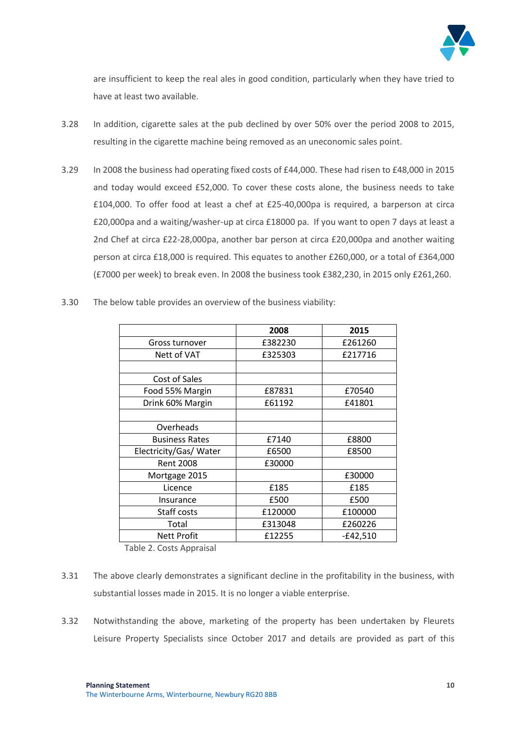

are insufficient to keep the real ales in good condition, particularly when they have tried to have at least two available.

- 3.28 In addition, cigarette sales at the pub declined by over 50% over the period 2008 to 2015, resulting in the cigarette machine being removed as an uneconomic sales point.
- 3.29 In 2008 the business had operating fixed costs of £44,000. These had risen to £48,000 in 2015 and today would exceed £52,000. To cover these costs alone, the business needs to take £104,000. To offer food at least a chef at £25-40,000pa is required, a barperson at circa £20,000pa and a waiting/washer-up at circa £18000 pa. If you want to open 7 days at least a 2nd Chef at circa £22-28,000pa, another bar person at circa £20,000pa and another waiting person at circa £18,000 is required. This equates to another £260,000, or a total of £364,000 (£7000 per week) to break even. In 2008 the business took £382,230, in 2015 only £261,260.

| 3.30 | The below table provides an overview of the business viability: |  |  |  |  |
|------|-----------------------------------------------------------------|--|--|--|--|
|      |                                                                 |  |  |  |  |

|                        | 2008    | 2015       |  |  |  |
|------------------------|---------|------------|--|--|--|
| Gross turnover         | £382230 | £261260    |  |  |  |
| Nett of VAT            | £325303 | £217716    |  |  |  |
|                        |         |            |  |  |  |
| Cost of Sales          |         |            |  |  |  |
| Food 55% Margin        | £87831  | £70540     |  |  |  |
| Drink 60% Margin       | £61192  | £41801     |  |  |  |
|                        |         |            |  |  |  |
| Overheads              |         |            |  |  |  |
| <b>Business Rates</b>  | £7140   | £8800      |  |  |  |
| Electricity/Gas/ Water | £6500   | £8500      |  |  |  |
| <b>Rent 2008</b>       | £30000  |            |  |  |  |
| Mortgage 2015          |         | £30000     |  |  |  |
| Licence                | £185    | £185       |  |  |  |
| Insurance              | £500    | £500       |  |  |  |
| Staff costs            | £120000 | £100000    |  |  |  |
| Total                  | £313048 | £260226    |  |  |  |
| <b>Nett Profit</b>     | £12255  | $-£42,510$ |  |  |  |
|                        |         |            |  |  |  |

Table 2. Costs Appraisal

- 3.31 The above clearly demonstrates a significant decline in the profitability in the business, with substantial losses made in 2015. It is no longer a viable enterprise.
- 3.32 Notwithstanding the above, marketing of the property has been undertaken by Fleurets Leisure Property Specialists since October 2017 and details are provided as part of this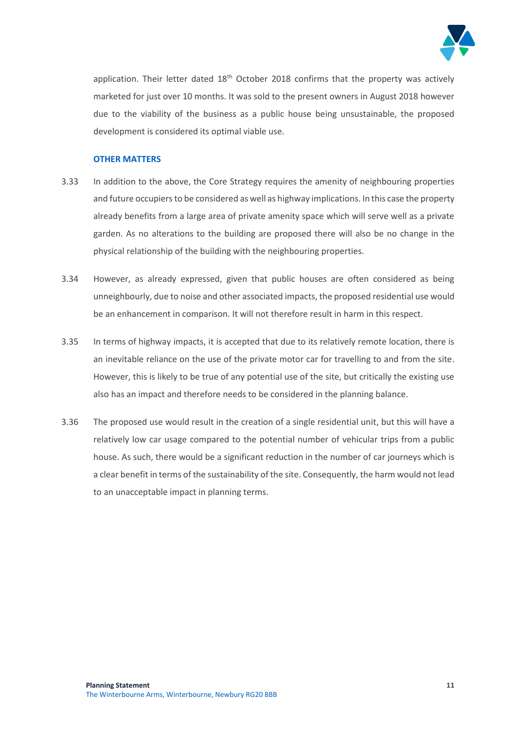

application. Their letter dated  $18<sup>th</sup>$  October 2018 confirms that the property was actively marketed for just over 10 months. It was sold to the present owners in August 2018 however due to the viability of the business as a public house being unsustainable, the proposed development is considered its optimal viable use.

#### **OTHER MATTERS**

- 3.33 In addition to the above, the Core Strategy requires the amenity of neighbouring properties and future occupiers to be considered as well as highway implications. In this case the property already benefits from a large area of private amenity space which will serve well as a private garden. As no alterations to the building are proposed there will also be no change in the physical relationship of the building with the neighbouring properties.
- 3.34 However, as already expressed, given that public houses are often considered as being unneighbourly, due to noise and other associated impacts, the proposed residential use would be an enhancement in comparison. It will not therefore result in harm in this respect.
- 3.35 In terms of highway impacts, it is accepted that due to its relatively remote location, there is an inevitable reliance on the use of the private motor car for travelling to and from the site. However, this is likely to be true of any potential use of the site, but critically the existing use also has an impact and therefore needs to be considered in the planning balance.
- 3.36 The proposed use would result in the creation of a single residential unit, but this will have a relatively low car usage compared to the potential number of vehicular trips from a public house. As such, there would be a significant reduction in the number of car journeys which is a clear benefit in terms of the sustainability of the site. Consequently, the harm would not lead to an unacceptable impact in planning terms.